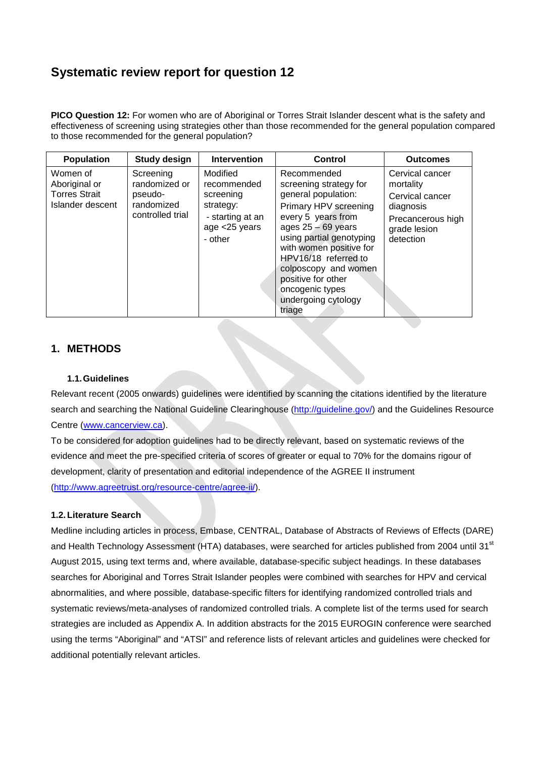# **Systematic review report for question 12**

**PICO Question 12:** For women who are of Aboriginal or Torres Strait Islander descent what is the safety and effectiveness of screening using strategies other than those recommended for the general population compared to those recommended for the general population?

| <b>Population</b>                                                     | <b>Study design</b>                                                     | <b>Intervention</b>                                                                               | Control                                                                                                                                                                                                                                                                                                              | <b>Outcomes</b>                                                                                                |
|-----------------------------------------------------------------------|-------------------------------------------------------------------------|---------------------------------------------------------------------------------------------------|----------------------------------------------------------------------------------------------------------------------------------------------------------------------------------------------------------------------------------------------------------------------------------------------------------------------|----------------------------------------------------------------------------------------------------------------|
| Women of<br>Aboriginal or<br><b>Torres Strait</b><br>Islander descent | Screening<br>randomized or<br>pseudo-<br>randomized<br>controlled trial | Modified<br>recommended<br>screening<br>strategy:<br>- starting at an<br>age <25 years<br>- other | Recommended<br>screening strategy for<br>general population:<br>Primary HPV screening<br>every 5 years from<br>ages $25 - 69$ years<br>using partial genotyping<br>with women positive for<br>HPV16/18 referred to<br>colposcopy and women<br>positive for other<br>oncogenic types<br>undergoing cytology<br>triage | Cervical cancer<br>mortality<br>Cervical cancer<br>diagnosis<br>Precancerous high<br>grade lesion<br>detection |

# **1. METHODS**

#### **1.1.Guidelines**

Relevant recent (2005 onwards) guidelines were identified by scanning the citations identified by the literature search and searching the National Guideline Clearinghouse [\(http://guideline.gov/\)](http://guideline.gov/) and the Guidelines Resource Centre [\(www.cancerview.ca\)](http://www.cancerview.ca/).

To be considered for adoption guidelines had to be directly relevant, based on systematic reviews of the evidence and meet the pre-specified criteria of scores of greater or equal to 70% for the domains rigour of development, clarity of presentation and editorial independence of the AGREE II instrument [\(http://www.agreetrust.org/resource-centre/agree-ii/\)](http://www.agreetrust.org/resource-centre/agree-ii/).

#### **1.2.Literature Search**

Medline including articles in process, Embase, CENTRAL, Database of Abstracts of Reviews of Effects (DARE) and Health Technology Assessment (HTA) databases, were searched for articles published from 2004 until 31<sup>st</sup> August 2015, using text terms and, where available, database-specific subject headings. In these databases searches for Aboriginal and Torres Strait Islander peoples were combined with searches for HPV and cervical abnormalities, and where possible, database-specific filters for identifying randomized controlled trials and systematic reviews/meta-analyses of randomized controlled trials. A complete list of the terms used for search strategies are included as Appendix A. In addition abstracts for the 2015 EUROGIN conference were searched using the terms "Aboriginal" and "ATSI" and reference lists of relevant articles and guidelines were checked for additional potentially relevant articles.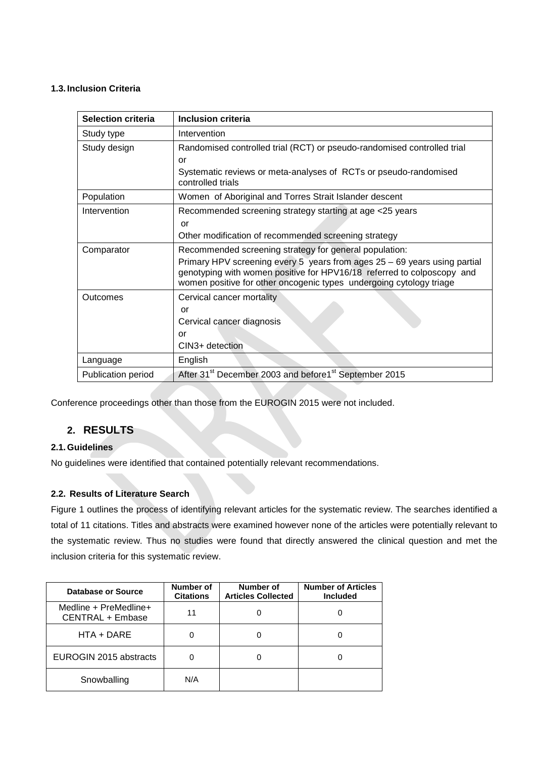#### **1.3. Inclusion Criteria**

| <b>Selection criteria</b> | Inclusion criteria                                                                                                                            |
|---------------------------|-----------------------------------------------------------------------------------------------------------------------------------------------|
| Study type                | Intervention                                                                                                                                  |
| Study design              | Randomised controlled trial (RCT) or pseudo-randomised controlled trial                                                                       |
|                           | or                                                                                                                                            |
|                           | Systematic reviews or meta-analyses of RCTs or pseudo-randomised<br>controlled trials                                                         |
| Population                | Women of Aboriginal and Torres Strait Islander descent                                                                                        |
| Intervention              | Recommended screening strategy starting at age <25 years                                                                                      |
|                           | or                                                                                                                                            |
|                           | Other modification of recommended screening strategy                                                                                          |
| Comparator                | Recommended screening strategy for general population:                                                                                        |
|                           | Primary HPV screening every 5 years from ages 25 - 69 years using partial                                                                     |
|                           | genotyping with women positive for HPV16/18 referred to colposcopy and<br>women positive for other oncogenic types undergoing cytology triage |
|                           |                                                                                                                                               |
| Outcomes                  | Cervical cancer mortality                                                                                                                     |
|                           | or                                                                                                                                            |
|                           | Cervical cancer diagnosis                                                                                                                     |
|                           | or                                                                                                                                            |
|                           | CIN3+ detection                                                                                                                               |
| Language                  | English                                                                                                                                       |
| Publication period        | After 31 <sup>st</sup> December 2003 and before1 <sup>st</sup> September 2015                                                                 |

Conference proceedings other than those from the EUROGIN 2015 were not included.

# **2. RESULTS**

## **2.1.Guidelines**

No guidelines were identified that contained potentially relevant recommendations.

### **2.2. Results of Literature Search**

Figure 1 outlines the process of identifying relevant articles for the systematic review. The searches identified a total of 11 citations. Titles and abstracts were examined however none of the articles were potentially relevant to the systematic review. Thus no studies were found that directly answered the clinical question and met the inclusion criteria for this systematic review.

| Database or Source                        | Number of<br><b>Citations</b> | Number of<br><b>Articles Collected</b> | <b>Number of Articles</b><br><b>Included</b> |
|-------------------------------------------|-------------------------------|----------------------------------------|----------------------------------------------|
| Medline + PreMedline+<br>CENTRAL + Embase | 11                            |                                        |                                              |
| $HTA + DARE$                              |                               |                                        |                                              |
| EUROGIN 2015 abstracts                    |                               |                                        |                                              |
| Snowballing                               | N/A                           |                                        |                                              |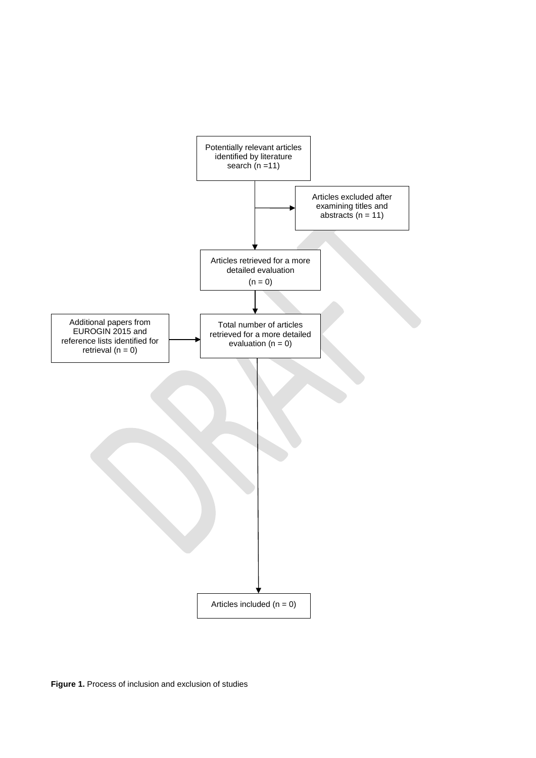

**Figure 1.** Process of inclusion and exclusion of studies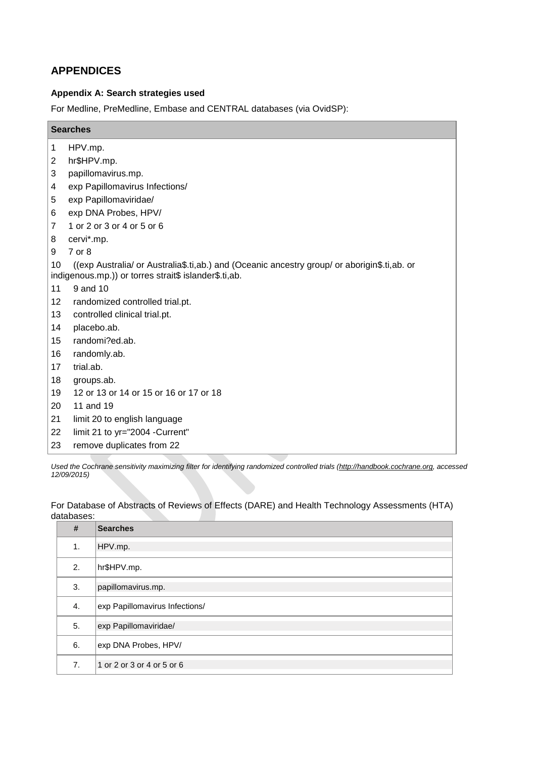# **APPENDICES**

### **Appendix A: Search strategies used**

For Medline, PreMedline, Embase and CENTRAL databases (via OvidSP):

| HPV.mp.<br>1<br>hr\$HPV.mp.<br>2<br>3<br>papillomavirus.mp.<br>exp Papillomavirus Infections/<br>exp Papillomaviridae/<br>5<br>exp DNA Probes, HPV/<br>1 or 2 or 3 or 4 or 5 or 6<br>7<br>cervi*.mp.<br>7 or 8<br>((exp Australia/ or Australia\$.ti,ab.) and (Oceanic ancestry group/ or aborigin\$.ti,ab. or<br>10<br>indigenous.mp.)) or torres strait\$ islander\$.ti,ab.<br>11<br>9 and 10<br>12<br>randomized controlled trial.pt.<br>13<br>controlled clinical trial.pt.<br>14<br>placebo.ab.<br>randomi?ed.ab.<br>15<br>16<br>randomly.ab.<br>trial.ab.<br>17<br>18<br>groups.ab.<br>19<br>12 or 13 or 14 or 15 or 16 or 17 or 18<br>11 and 19<br>limit 20 to english language | <b>Searches</b> |                                |
|----------------------------------------------------------------------------------------------------------------------------------------------------------------------------------------------------------------------------------------------------------------------------------------------------------------------------------------------------------------------------------------------------------------------------------------------------------------------------------------------------------------------------------------------------------------------------------------------------------------------------------------------------------------------------------------|-----------------|--------------------------------|
|                                                                                                                                                                                                                                                                                                                                                                                                                                                                                                                                                                                                                                                                                        |                 |                                |
|                                                                                                                                                                                                                                                                                                                                                                                                                                                                                                                                                                                                                                                                                        |                 |                                |
|                                                                                                                                                                                                                                                                                                                                                                                                                                                                                                                                                                                                                                                                                        |                 |                                |
|                                                                                                                                                                                                                                                                                                                                                                                                                                                                                                                                                                                                                                                                                        | 4               |                                |
|                                                                                                                                                                                                                                                                                                                                                                                                                                                                                                                                                                                                                                                                                        |                 |                                |
|                                                                                                                                                                                                                                                                                                                                                                                                                                                                                                                                                                                                                                                                                        | 6               |                                |
|                                                                                                                                                                                                                                                                                                                                                                                                                                                                                                                                                                                                                                                                                        |                 |                                |
|                                                                                                                                                                                                                                                                                                                                                                                                                                                                                                                                                                                                                                                                                        | 8               |                                |
|                                                                                                                                                                                                                                                                                                                                                                                                                                                                                                                                                                                                                                                                                        | 9               |                                |
|                                                                                                                                                                                                                                                                                                                                                                                                                                                                                                                                                                                                                                                                                        |                 |                                |
|                                                                                                                                                                                                                                                                                                                                                                                                                                                                                                                                                                                                                                                                                        |                 |                                |
|                                                                                                                                                                                                                                                                                                                                                                                                                                                                                                                                                                                                                                                                                        |                 |                                |
|                                                                                                                                                                                                                                                                                                                                                                                                                                                                                                                                                                                                                                                                                        |                 |                                |
|                                                                                                                                                                                                                                                                                                                                                                                                                                                                                                                                                                                                                                                                                        |                 |                                |
|                                                                                                                                                                                                                                                                                                                                                                                                                                                                                                                                                                                                                                                                                        |                 |                                |
|                                                                                                                                                                                                                                                                                                                                                                                                                                                                                                                                                                                                                                                                                        |                 |                                |
|                                                                                                                                                                                                                                                                                                                                                                                                                                                                                                                                                                                                                                                                                        |                 |                                |
|                                                                                                                                                                                                                                                                                                                                                                                                                                                                                                                                                                                                                                                                                        |                 |                                |
|                                                                                                                                                                                                                                                                                                                                                                                                                                                                                                                                                                                                                                                                                        |                 |                                |
|                                                                                                                                                                                                                                                                                                                                                                                                                                                                                                                                                                                                                                                                                        | 20              |                                |
|                                                                                                                                                                                                                                                                                                                                                                                                                                                                                                                                                                                                                                                                                        | 21              |                                |
|                                                                                                                                                                                                                                                                                                                                                                                                                                                                                                                                                                                                                                                                                        | 22              | limit 21 to yr="2004 -Current" |
| remove duplicates from 22                                                                                                                                                                                                                                                                                                                                                                                                                                                                                                                                                                                                                                                              | 23              |                                |

*Used the Cochrane sensitivity maximizing filter for identifying randomized controlled trials [\(http://handbook.cochrane.org,](http://handbook.cochrane.org/) accessed 12/09/2015)* 

For Database of Abstracts of Reviews of Effects (DARE) and Health Technology Assessments (HTA) databases:

| #  | <b>Searches</b>                |
|----|--------------------------------|
| 1. | HPV.mp.                        |
| 2. | hr\$HPV.mp.                    |
| 3. | papillomavirus.mp.             |
| 4. | exp Papillomavirus Infections/ |
| 5. | exp Papillomaviridae/          |
| 6. | exp DNA Probes, HPV/           |
| 7. | 1 or 2 or 3 or 4 or 5 or 6     |